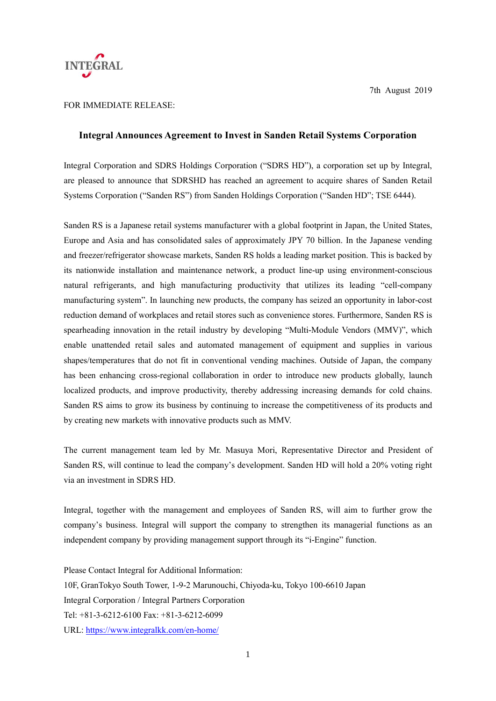

7th August 2019

## FOR IMMEDIATE RELEASE:

## **Integral Announces Agreement to Invest in Sanden Retail Systems Corporation**

Integral Corporation and SDRS Holdings Corporation ("SDRS HD"), a corporation set up by Integral, are pleased to announce that SDRSHD has reached an agreement to acquire shares of Sanden Retail Systems Corporation ("Sanden RS") from Sanden Holdings Corporation ("Sanden HD"; TSE 6444).

Sanden RS is a Japanese retail systems manufacturer with a global footprint in Japan, the United States, Europe and Asia and has consolidated sales of approximately JPY 70 billion. In the Japanese vending and freezer/refrigerator showcase markets, Sanden RS holds a leading market position. This is backed by its nationwide installation and maintenance network, a product line-up using environment-conscious natural refrigerants, and high manufacturing productivity that utilizes its leading "cell-company manufacturing system". In launching new products, the company has seized an opportunity in labor-cost reduction demand of workplaces and retail stores such as convenience stores. Furthermore, Sanden RS is spearheading innovation in the retail industry by developing "Multi-Module Vendors (MMV)", which enable unattended retail sales and automated management of equipment and supplies in various shapes/temperatures that do not fit in conventional vending machines. Outside of Japan, the company has been enhancing cross-regional collaboration in order to introduce new products globally, launch localized products, and improve productivity, thereby addressing increasing demands for cold chains. Sanden RS aims to grow its business by continuing to increase the competitiveness of its products and by creating new markets with innovative products such as MMV.

The current management team led by Mr. Masuya Mori, Representative Director and President of Sanden RS, will continue to lead the company's development. Sanden HD will hold a 20% voting right via an investment in SDRS HD.

Integral, together with the management and employees of Sanden RS, will aim to further grow the company's business. Integral will support the company to strengthen its managerial functions as an independent company by providing management support through its "i-Engine" function.

Please Contact Integral for Additional Information: 10F, GranTokyo South Tower, 1-9-2 Marunouchi, Chiyoda-ku, Tokyo 100-6610 Japan Integral Corporation / Integral Partners Corporation Tel: +81-3-6212-6100 Fax: +81-3-6212-6099 URL:<https://www.integralkk.com/en-home/>